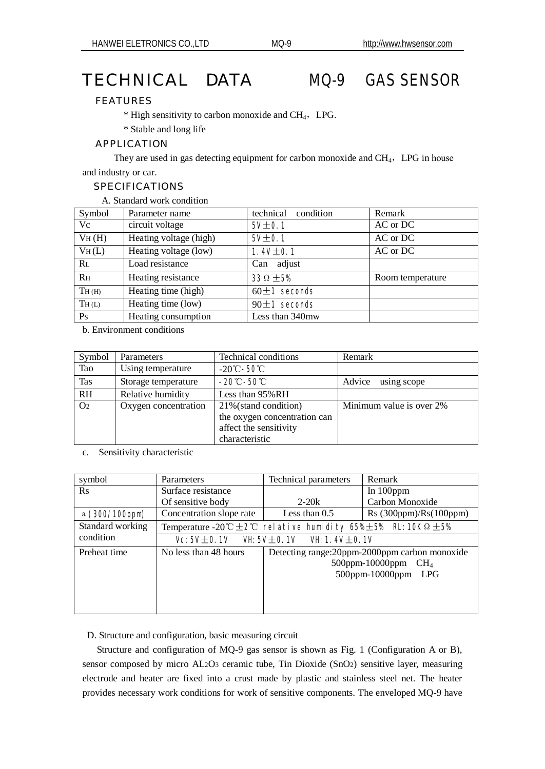# TECHNICAL DATA MQ-9 GAS SENSOR

# FEATURES

 $*$  High sensitivity to carbon monoxide and CH<sub>4</sub>, LPG.

\* Stable and long life

### APPLICATION

and industry or car. They are used in gas detecting equipment for carbon monoxide and  $CH<sub>4</sub>$ , LPG in house

# SPECIFICATIONS

A. Standard work condition

| Symbol             | Parameter name         | technical<br>condition | Remark           |  |  |
|--------------------|------------------------|------------------------|------------------|--|--|
| Vc                 | circuit voltage        | $5t$ 01                | AC or DC         |  |  |
| V <sub>H</sub> (H) | Heating voltage (high) | $5t$ 01                | AC or DC         |  |  |
| V <sub>H</sub> (L) | Heating voltage (low)  | 1.4 $\pm$ 01           | AC or DC         |  |  |
| $R_{\rm L}$        | Load resistance        | Can adjust             |                  |  |  |
| R <sub>H</sub>     | Heating resistance     | $330 \pm 5%$           | Room temperature |  |  |
| TH(H)              | Heating time (high)    | $60 \pm 1$ seconds     |                  |  |  |
| TH(L)              | Heating time (low)     | $90 \pm 1$ seconds     |                  |  |  |
| Ps                 | Heating consumption    | Less than 340mw        |                  |  |  |

b. Environment conditions

| Symbol         | Parameters           | Technical conditions         | Remark                   |
|----------------|----------------------|------------------------------|--------------------------|
| Tao            | Using temperature    | $-20^\circ$ C – 50C          |                          |
| Tas            | Storage temperature  | $-20^\circ$ -50 $^\circ$     | using scope<br>Advice    |
| R <sub>H</sub> | Relative humidity    | Less than 95% RH             |                          |
| O <sub>2</sub> | Oxygen concentration | 21% (stand condition)        | Minimum value is over 2% |
|                |                      | the oxygen concentration can |                          |
|                |                      | affect the sensitivity       |                          |
|                |                      | characteristic               |                          |

c. Sensitivity characteristic

| symbol           | Parameters                                                                            | Technical parameters         | Remark                                       |
|------------------|---------------------------------------------------------------------------------------|------------------------------|----------------------------------------------|
| $\rm Rs$         | Surface resistance                                                                    |                              | In $100$ ppm                                 |
|                  | Of sensitive body                                                                     | $2 - 20k$                    | Carbon Monoxide                              |
| a (300'100pm)    | Concentration slope rate                                                              | Less than $0.5$              | Rs (300 ppm)/Rs (100 ppm)                    |
| Standard working | Temperature -20°C $\pm$ <b>2C rel at ive hurid ty 65% 5% R: 10K</b> Q $\pm$ <b>5%</b> |                              |                                              |
| condition        |                                                                                       | Vc5V±O1V VH5V±O1V VH1.4V±O1V |                                              |
| Preheat time     | No less than 48 hours<br>Detecting range: 20ppm-2000ppm carbon monoxide               |                              | 500ppm-10000ppm $CH4$<br>500ppm-10000ppm LPG |

# D. Structure and configuration, basic measuring circuit

 Structure and configuration of MQ-9 gas sensor is shown as Fig. 1 (Configuration A or B), sensor composed by micro AL2O3 ceramic tube, Tin Dioxide (SnO2) sensitive layer, measuring electrode and heater are fixed into a crust made by plastic and stainless steel net. The heater provides necessary work conditions for work of sensitive components. The enveloped MQ-9 have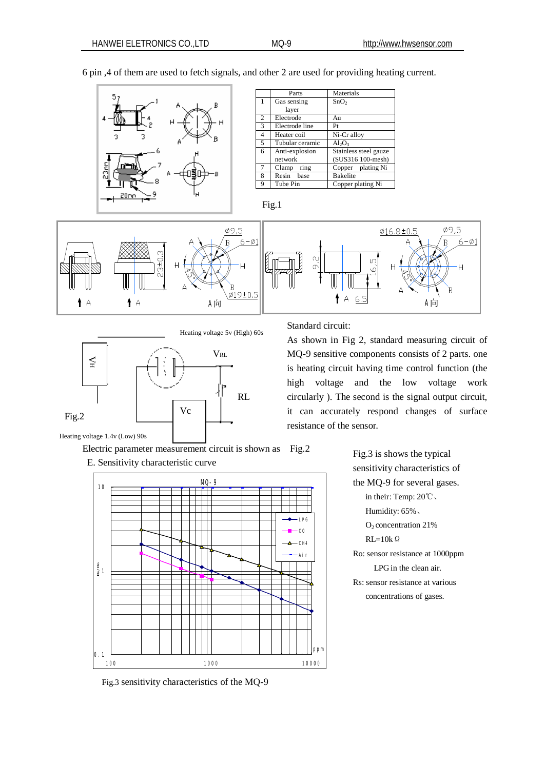

Clamp ring Copper plating Ni Resin base Bakelite Tube Pin Copper plating Ni

Fig.1



Heating voltage 5v (High) 60s



Electric parameter measurement circuit is shown as Fig.2

E. Sensitivity characteristic curve



Fig.3 sensitivity characteristics of the MQ-9

Standard circuit:

As shown in Fig 2, standard measuring circuit of MQ-9 sensitive components consists of 2 parts. one is heating circuit having time control function (the high voltage and the low voltage work circularly ). The second is the signal output circuit, it can accurately respond changes of surface resistance of the sensor.

> Fig.3 is shows the typical sensitivity characteristics of the MQ-9 for several gases. in their: Temp: 20℃、 Humidity: 65%、 O2 concentration 21%  $RI = 10k$  Ω Ro: sensor resistance at 1000ppm LPG in the clean air. Rs: sensor resistance at various concentrations of gases.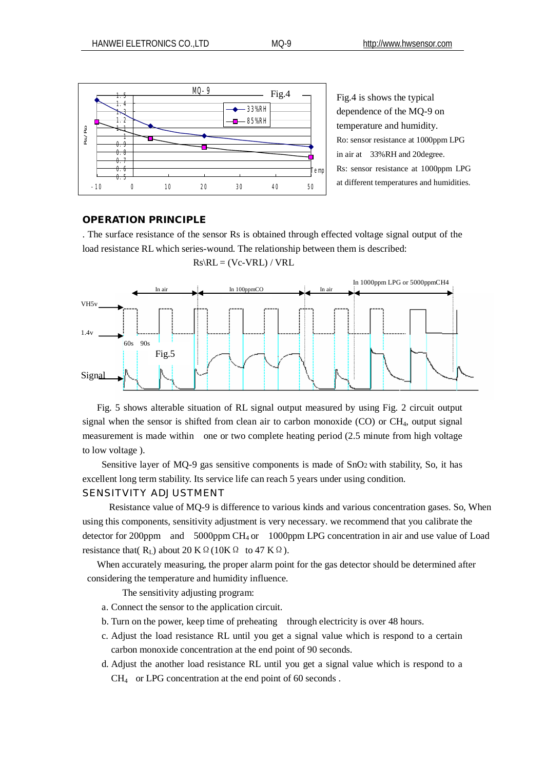

Fig.4 is shows the typical dependence of the MQ-9 on temperature and humidity. Ro: sensor resistance at 1000ppm LPG in air at 33%RH and 20degree. Rs: sensor resistance at 1000ppm LPG at different temperatures and humidities.

#### **OPERATION PRINCIPLE**

. The surface resistance of the sensor Rs is obtained through effected voltage signal output of the load resistance RL which series-wound. The relationship between them is described:

 $Rs\backslash RL = (Vc-VRL)/VRL$ 



 Fig. 5 shows alterable situation of RL signal output measured by using Fig. 2 circuit output signal when the sensor is shifted from clean air to carbon monoxide (CO) or CH4, output signal measurement is made within one or two complete heating period (2.5 minute from high voltage to low voltage ).

 Sensitive layer of MQ-9 gas sensitive components is made of SnO2 with stability, So, it has excellent long term stability. Its service life can reach 5 years under using condition.

### SENSITVITY ADJUSTMENT

Resistance value of MQ-9 is difference to various kinds and various concentration gases. So, When using this components, sensitivity adjustment is very necessary. we recommend that you calibrate the detector for 200ppm  $\ldots$  and 5000ppm CH<sub>4</sub> or 1000ppm LPG concentration in air and use value of Load resistance that( $R_L$ ) about 20 K Ω(10K Ω to 47 K Ω).

 When accurately measuring, the proper alarm point for the gas detector should be determined after considering the temperature and humidity influence.

The sensitivity adjusting program:

- a. Connect the sensor to the application circuit.
- b. Turn on the power, keep time of preheating through electricity is over 48 hours.
- c. Adjust the load resistance RL until you get a signal value which is respond to a certain carbon monoxide concentration at the end point of 90 seconds.
- d. Adjust the another load resistance RL until you get a signal value which is respond to a CH4 or LPG concentration at the end point of 60 seconds .